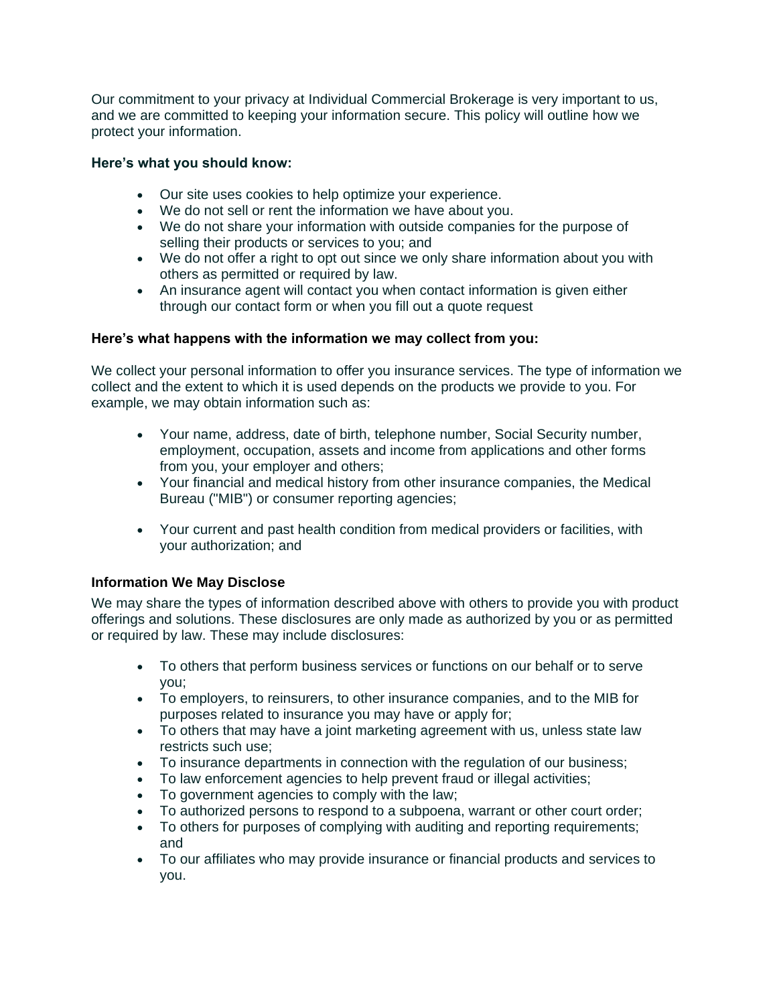Our commitment to your privacy at Individual Commercial Brokerage is very important to us, and we are committed to keeping your information secure. This policy will outline how we protect your information.

### **Here's what you should know:**

- Our site uses cookies to help optimize your experience.
- We do not sell or rent the information we have about you.
- We do not share your information with outside companies for the purpose of selling their products or services to you; and
- We do not offer a right to opt out since we only share information about you with others as permitted or required by law.
- An insurance agent will contact you when contact information is given either through our contact form or when you fill out a quote request

### **Here's what happens with the information we may collect from you:**

We collect your personal information to offer you insurance services. The type of information we collect and the extent to which it is used depends on the products we provide to you. For example, we may obtain information such as:

- Your name, address, date of birth, telephone number, Social Security number, employment, occupation, assets and income from applications and other forms from you, your employer and others;
- Your financial and medical history from other insurance companies, the Medical Bureau ("MIB") or consumer reporting agencies;
- Your current and past health condition from medical providers or facilities, with your authorization; and

# **Information We May Disclose**

We may share the types of information described above with others to provide you with product offerings and solutions. These disclosures are only made as authorized by you or as permitted or required by law. These may include disclosures:

- To others that perform business services or functions on our behalf or to serve you;
- To employers, to reinsurers, to other insurance companies, and to the MIB for purposes related to insurance you may have or apply for;
- To others that may have a joint marketing agreement with us, unless state law restricts such use;
- To insurance departments in connection with the regulation of our business;
- To law enforcement agencies to help prevent fraud or illegal activities;
- To government agencies to comply with the law;
- To authorized persons to respond to a subpoena, warrant or other court order;
- To others for purposes of complying with auditing and reporting requirements; and
- To our affiliates who may provide insurance or financial products and services to you.